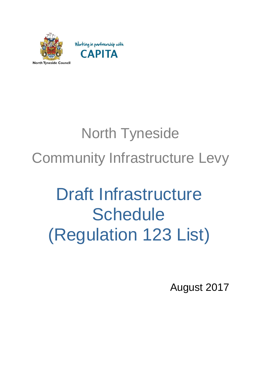

## North Tyneside Community Infrastructure Levy

## Draft Infrastructure **Schedule** (Regulation 123 List)

August 2017